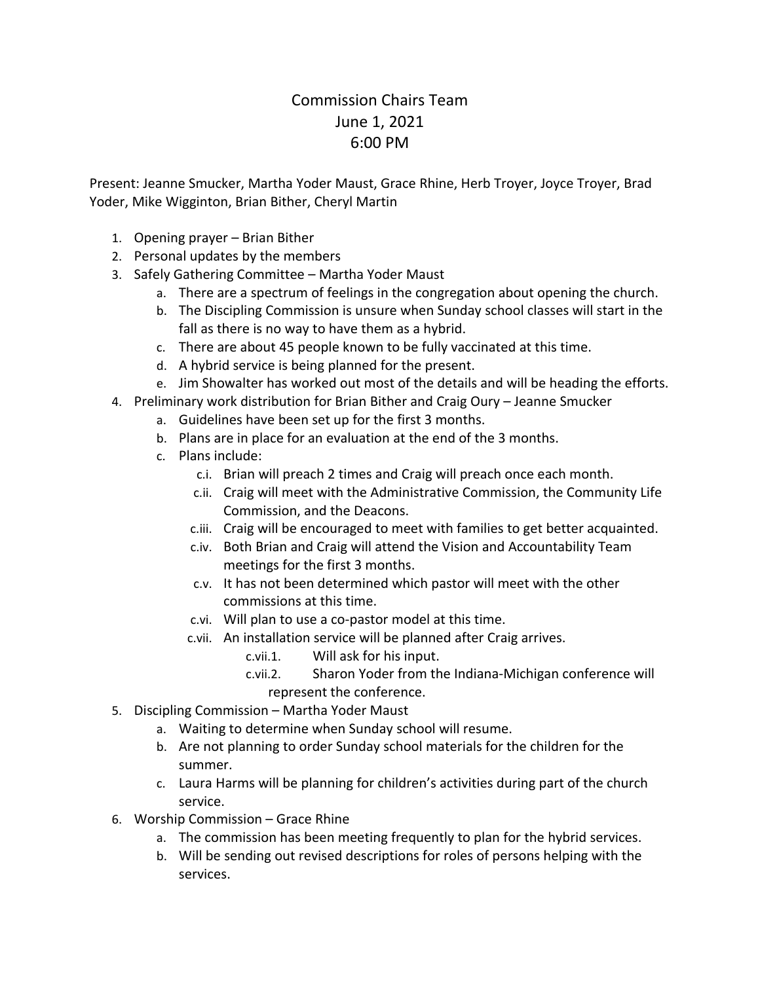## Commission Chairs Team June 1, 2021 6:00 PM

Present: Jeanne Smucker, Martha Yoder Maust, Grace Rhine, Herb Troyer, Joyce Troyer, Brad Yoder, Mike Wigginton, Brian Bither, Cheryl Martin

- 1. Opening prayer Brian Bither
- 2. Personal updates by the members
- 3. Safely Gathering Committee Martha Yoder Maust
	- a. There are a spectrum of feelings in the congregation about opening the church.
	- b. The Discipling Commission is unsure when Sunday school classes will start in the fall as there is no way to have them as a hybrid.
	- c. There are about 45 people known to be fully vaccinated at this time.
	- d. A hybrid service is being planned for the present.
	- e. Jim Showalter has worked out most of the details and will be heading the efforts.
- 4. Preliminary work distribution for Brian Bither and Craig Oury Jeanne Smucker
	- a. Guidelines have been set up for the first 3 months.
	- b. Plans are in place for an evaluation at the end of the 3 months.
	- c. Plans include:
		- c.i. Brian will preach 2 times and Craig will preach once each month.
		- c.ii. Craig will meet with the Administrative Commission, the Community Life Commission, and the Deacons.
		- c.iii. Craig will be encouraged to meet with families to get better acquainted.
		- c.iv. Both Brian and Craig will attend the Vision and Accountability Team meetings for the first 3 months.
		- c.v. It has not been determined which pastor will meet with the other commissions at this time.
		- c.vi. Will plan to use a co-pastor model at this time.
		- c.vii. An installation service will be planned after Craig arrives.
			- c.vii.1. Will ask for his input.
			- c.vii.2. Sharon Yoder from the Indiana-Michigan conference will represent the conference.
- 5. Discipling Commission Martha Yoder Maust
	- a. Waiting to determine when Sunday school will resume.
	- b. Are not planning to order Sunday school materials for the children for the summer.
	- c. Laura Harms will be planning for children's activities during part of the church service.
- 6. Worship Commission Grace Rhine
	- a. The commission has been meeting frequently to plan for the hybrid services.
	- b. Will be sending out revised descriptions for roles of persons helping with the services.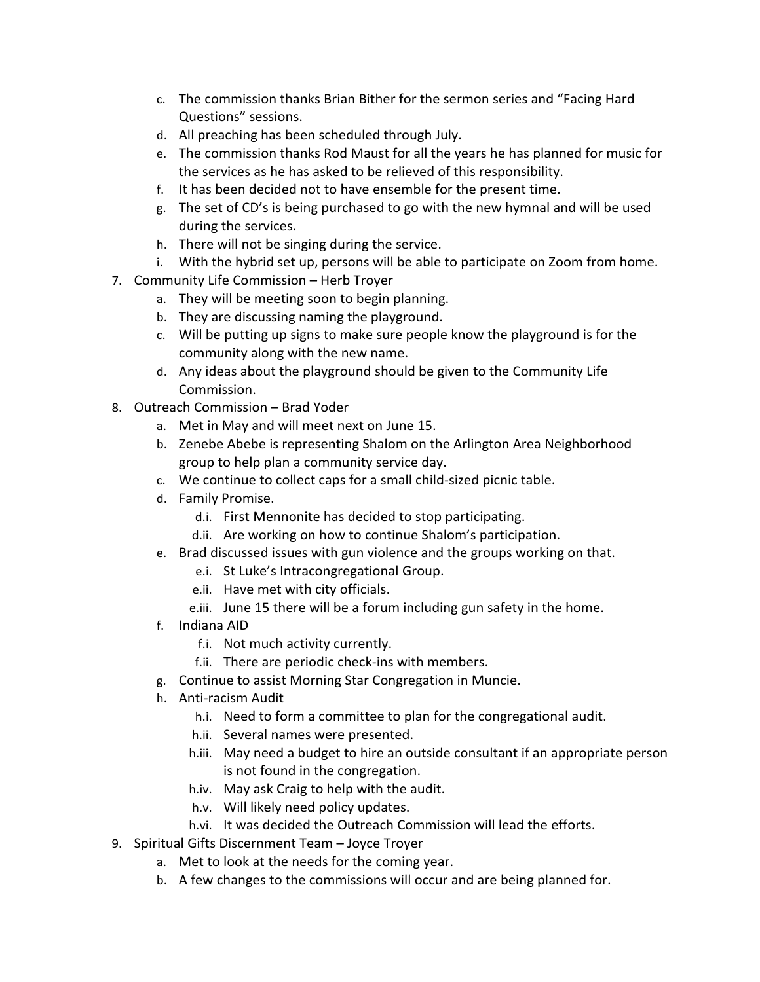- c. The commission thanks Brian Bither for the sermon series and "Facing Hard Questions" sessions.
- d. All preaching has been scheduled through July.
- e. The commission thanks Rod Maust for all the years he has planned for music for the services as he has asked to be relieved of this responsibility.
- f. It has been decided not to have ensemble for the present time.
- g. The set of CD's is being purchased to go with the new hymnal and will be used during the services.
- h. There will not be singing during the service.
- i. With the hybrid set up, persons will be able to participate on Zoom from home.
- 7. Community Life Commission Herb Troyer
	- a. They will be meeting soon to begin planning.
	- b. They are discussing naming the playground.
	- c. Will be putting up signs to make sure people know the playground is for the community along with the new name.
	- d. Any ideas about the playground should be given to the Community Life Commission.
- 8. Outreach Commission Brad Yoder
	- a. Met in May and will meet next on June 15.
	- b. Zenebe Abebe is representing Shalom on the Arlington Area Neighborhood group to help plan a community service day.
	- c. We continue to collect caps for a small child-sized picnic table.
	- d. Family Promise.
		- d.i. First Mennonite has decided to stop participating.
		- d.ii. Are working on how to continue Shalom's participation.
	- e. Brad discussed issues with gun violence and the groups working on that.
		- e.i. St Luke's Intracongregational Group.
		- e.ii. Have met with city officials.
		- e.iii. June 15 there will be a forum including gun safety in the home.
	- f. Indiana AID
		- f.i. Not much activity currently.
		- f.ii. There are periodic check-ins with members.
	- g. Continue to assist Morning Star Congregation in Muncie.
	- h. Anti-racism Audit
		- h.i. Need to form a committee to plan for the congregational audit.
		- h.ii. Several names were presented.
		- h.iii. May need a budget to hire an outside consultant if an appropriate person is not found in the congregation.
		- h.iv. May ask Craig to help with the audit.
		- h.v. Will likely need policy updates.
		- h.vi. It was decided the Outreach Commission will lead the efforts.
- 9. Spiritual Gifts Discernment Team Joyce Troyer
	- a. Met to look at the needs for the coming year.
	- b. A few changes to the commissions will occur and are being planned for.